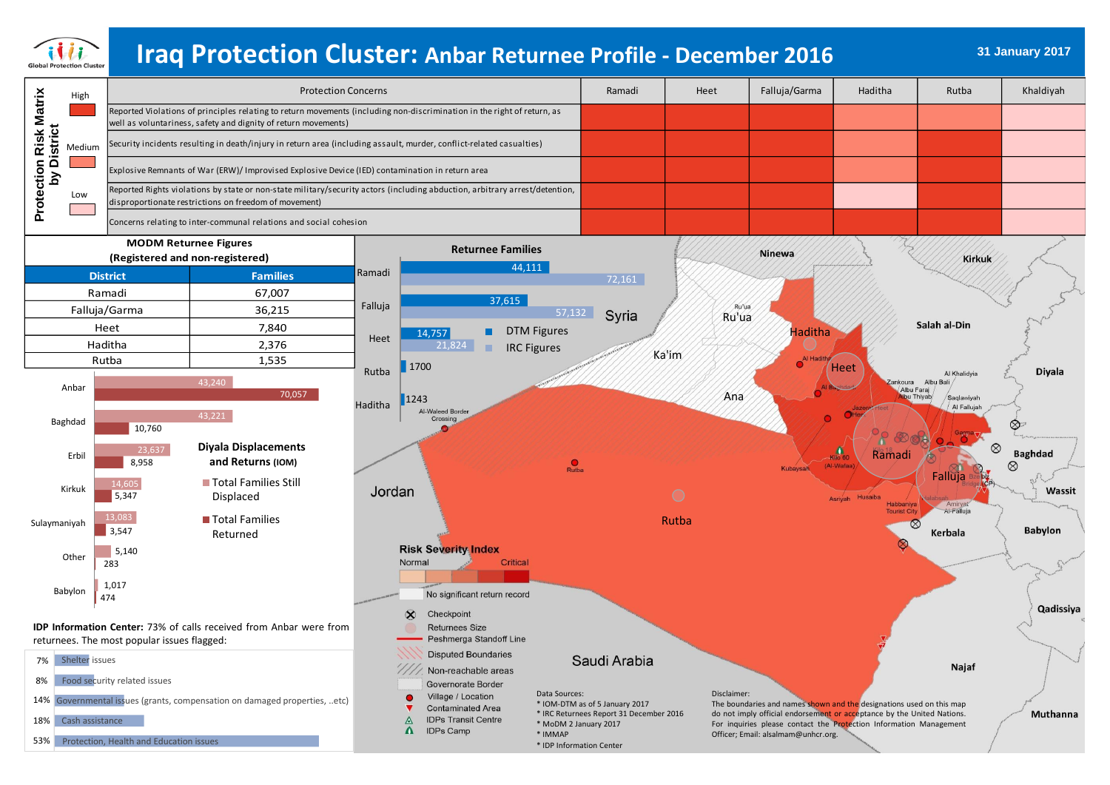

# **31 January 2017 Iraq Protection Cluster: Anbar Returnee Profile - December 2016**